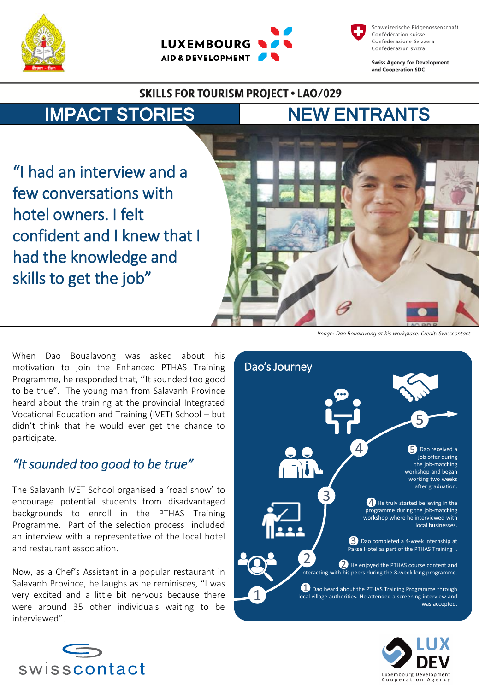





**Swiss Agency for Development** and Cooperation SDC

*Image: Dao Boualavong at his workplace. Credit: Swisscontact*

#### **SKILLS FOR TOURISM PROJECT . LAO/029**

# IMPACT STORIES NEW ENTRANTS

"I had an interview and a

few conversations with

had the knowledge and

hotel owners. I felt

skills to get the job"



When Dao Boualavong was asked about his motivation to join the Enhanced PTHAS Training Programme, he responded that, ''It sounded too good to be true". The young man from Salavanh Province heard about the training at the provincial Integrated Vocational Education and Training (IVET) School – but didn't think that he would ever get the chance to participate.

### *"Itsounded too good to be true"*

The Salavanh IVET School organised a 'road show' to encourage potential students from disadvantaged backgrounds to enroll in the PTHAS Training Programme. Part of the selection process included an interview with a representative of the local hotel and restaurant association.

Now, as a Chef's Assistant in a popular restaurant in Salavanh Province, he laughs as he reminisces, "I was very excited and a little bit nervous because there were around 35 other individuals waiting to be interviewed".